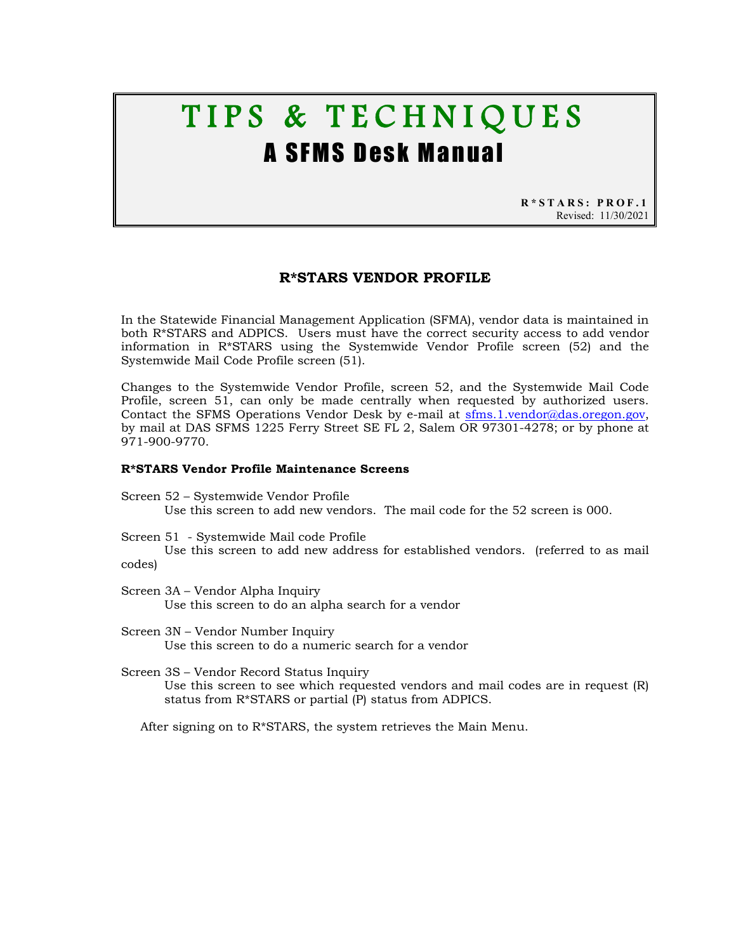# TIPS & TECHNIQUES A SFMS Desk Manual

**R\*STARS: PROF.1** Revised: 11/30/2021

## **R\*STARS VENDOR PROFILE**

In the Statewide Financial Management Application (SFMA), vendor data is maintained in both R\*STARS and ADPICS. Users must have the correct security access to add vendor information in R\*STARS using the Systemwide Vendor Profile screen (52) and the Systemwide Mail Code Profile screen (51).

Changes to the Systemwide Vendor Profile, screen 52, and the Systemwide Mail Code Profile, screen 51, can only be made centrally when requested by authorized users. Contact the SFMS Operations Vendor Desk by e-mail at [sfms.1.vendor@das.oregon.gov,](mailto:sfms.1.vendor@das.oregon.gov) by mail at DAS SFMS 1225 Ferry Street SE FL 2, Salem OR 97301-4278; or by phone at 971-900-9770.

#### **R\*STARS Vendor Profile Maintenance Screens**

- Screen 52 Systemwide Vendor Profile Use this screen to add new vendors. The mail code for the 52 screen is 000.
- Screen 51 Systemwide Mail code Profile

Use this screen to add new address for established vendors. (referred to as mail codes)

- Screen 3A Vendor Alpha Inquiry Use this screen to do an alpha search for a vendor
- Screen 3N Vendor Number Inquiry Use this screen to do a numeric search for a vendor
- Screen 3S Vendor Record Status Inquiry Use this screen to see which requested vendors and mail codes are in request (R) status from R\*STARS or partial (P) status from ADPICS.

After signing on to R\*STARS, the system retrieves the Main Menu.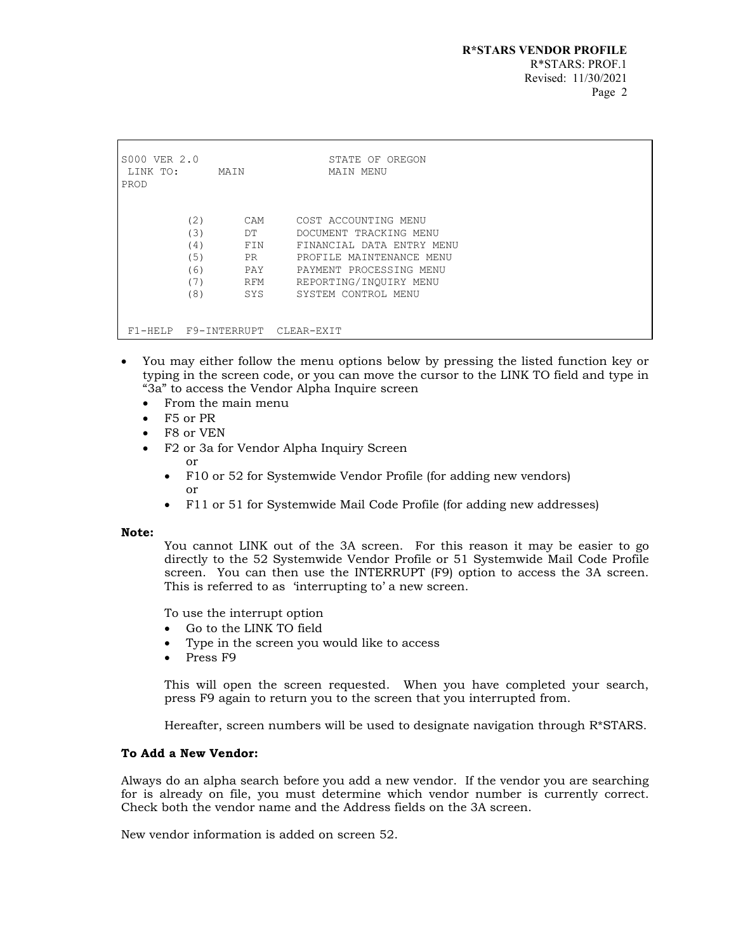```
S000 VER 2.0 STATE OF OREGON 
LINK TO:
PROD 
             (2) CAM COST ACCOUNTING MENU<br>
(3) DT DOCUMENT TRACKING ME
             (3) DT DOCUMENT TRACKING MENU<br>(4) FIN FINANCIAL DATA ENTRY M
             (4) FIN FINANCIAL DATA ENTRY MENU<br>(5) PR PROFILE MAINTENANCE MENU
             (5) PR PROFILE MAINTENANCE MENU<br>(6) PAY PAYMENT PROCESSING MENU
             (6) PAY PAYMENT PROCESSING MENU<br>(7) RFM REPORTING/INOUIRY MENU
             (7) RFM REPORTING/INQUIRY_MENU<br>(8) SYS SYSTEM_CONTROL_MENU
                                   SYSTEM CONTROL MENU
 F1-HELP F9-INTERRUPT CLEAR-EXIT
```
- You may either follow the menu options below by pressing the listed function key or typing in the screen code, or you can move the cursor to the LINK TO field and type in "3a" to access the Vendor Alpha Inquire screen
	- From the main menu
	- F5 or PR
	- F8 or VEN
	- F2 or 3a for Vendor Alpha Inquiry Screen or
		- F10 or 52 for Systemwide Vendor Profile (for adding new vendors) or
		- F11 or 51 for Systemwide Mail Code Profile (for adding new addresses)

## **Note:**

You cannot LINK out of the 3A screen. For this reason it may be easier to go directly to the 52 Systemwide Vendor Profile or 51 Systemwide Mail Code Profile screen. You can then use the INTERRUPT (F9) option to access the 3A screen. This is referred to as 'interrupting to' a new screen.

To use the interrupt option

- Go to the LINK TO field
- Type in the screen you would like to access
- Press F9

This will open the screen requested. When you have completed your search, press F9 again to return you to the screen that you interrupted from.

Hereafter, screen numbers will be used to designate navigation through R\*STARS.

## **To Add a New Vendor:**

Always do an alpha search before you add a new vendor. If the vendor you are searching for is already on file, you must determine which vendor number is currently correct. Check both the vendor name and the Address fields on the 3A screen.

New vendor information is added on screen 52.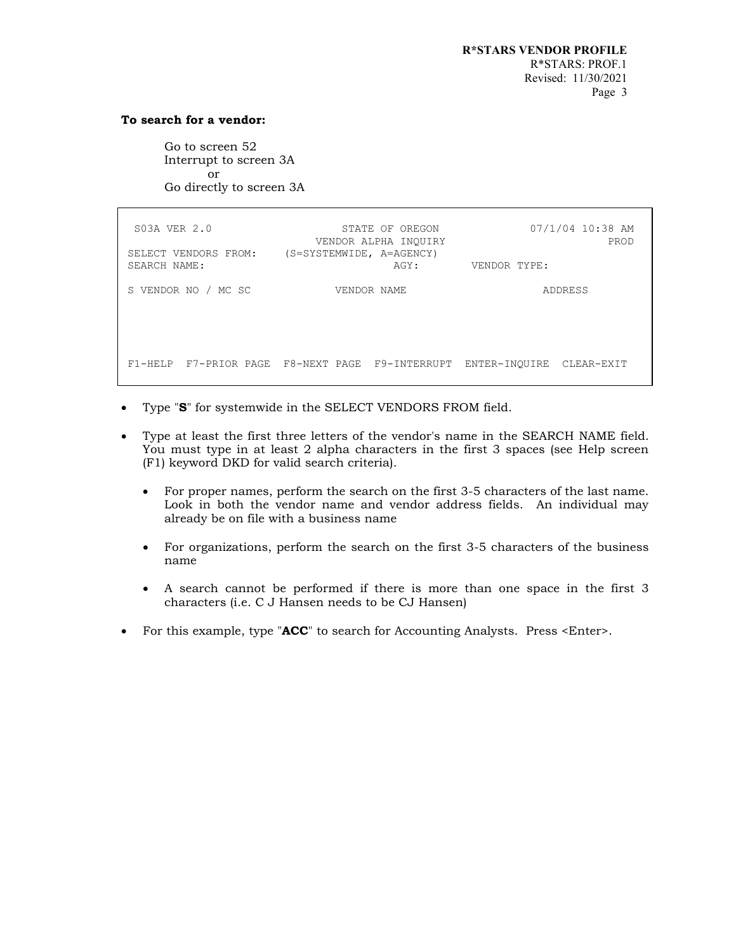## **To search for a vendor:**

Go to screen 52 Interrupt to screen 3A or Go directly to screen 3A

| S03A VER 2.0<br>SELECT VENDORS FROM:<br>SEARCH NAME: | STATE OF OREGON<br>VENDOR ALPHA INOUIRY<br>(S=SYSTEMWIDE, A=AGENCY)<br>AGY: | 07/1/04 10:38 AM<br>PROD<br>VENDOR TYPE: |
|------------------------------------------------------|-----------------------------------------------------------------------------|------------------------------------------|
| S VENDOR NO / MC SC                                  | VENDOR NAME                                                                 | <b>ADDRESS</b>                           |
|                                                      |                                                                             |                                          |
|                                                      | F1-HELP F7-PRIOR PAGE F8-NEXT PAGE F9-INTERRUPT ENTER-INOUIRE               | CLEAR-EXIT                               |

- Type "**S**" for systemwide in the SELECT VENDORS FROM field.
- Type at least the first three letters of the vendor's name in the SEARCH NAME field. You must type in at least 2 alpha characters in the first 3 spaces (see Help screen (F1) keyword DKD for valid search criteria).
	- For proper names, perform the search on the first 3-5 characters of the last name. Look in both the vendor name and vendor address fields. An individual may already be on file with a business name
	- For organizations, perform the search on the first 3-5 characters of the business name
	- A search cannot be performed if there is more than one space in the first 3 characters (i.e. C J Hansen needs to be CJ Hansen)
- For this example, type "ACC" to search for Accounting Analysts. Press <Enter>.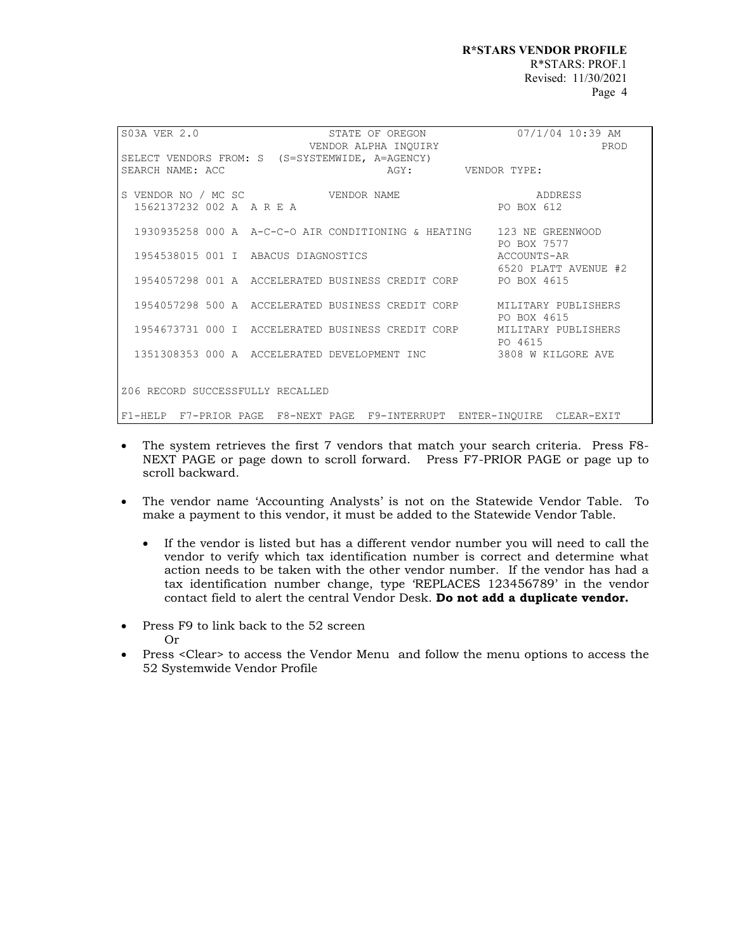| S03A VER 2.0<br>STATE OF OREGON<br>VENDOR ALPHA INQUIRY                  | $07/1/04$ 10:39 AM<br>PROD |
|--------------------------------------------------------------------------|----------------------------|
| SELECT VENDORS FROM: S (S=SYSTEMWIDE, A=AGENCY)                          |                            |
| AGY: VENDOR TYPE:<br>SEARCH NAME: ACC                                    |                            |
|                                                                          |                            |
| S VENDOR NO / MC SC WENDOR NAME                                          | ADDRESS                    |
| 1562137232 002 A A R E A                                                 | PO BOX 612                 |
|                                                                          |                            |
| 1930935258 000 A A-C-C-O AIR CONDITIONING & HEATING 123 NE GREENWOOD     |                            |
| 1954538015 001 I ABACUS DIAGNOSTICS                                      | PO BOX 7577<br>ACCOUNTS-AR |
|                                                                          | 6520 PLATT AVENUE #2       |
| 1954057298 001 A ACCELERATED BUSINESS CREDIT CORP PO BOX 4615            |                            |
|                                                                          |                            |
| 1954057298 500 A ACCELERATED BUSINESS CREDIT CORP MILITARY PUBLISHERS    |                            |
|                                                                          | PO BOX 4615                |
| 1954673731 000 I ACCELERATED BUSINESS CREDIT CORP MILITARY PUBLISHERS    |                            |
|                                                                          | PO 4615                    |
| 1351308353 000 A ACCELERATED DEVELOPMENT INC 3808 W KILGORE AVE          |                            |
|                                                                          |                            |
|                                                                          |                            |
| Z06 RECORD SUCCESSFULLY RECALLED                                         |                            |
| F1-HELP F7-PRIOR PAGE F8-NEXT PAGE F9-INTERRUPT ENTER-INOUIRE CLEAR-EXIT |                            |

- The system retrieves the first 7 vendors that match your search criteria. Press F8- NEXT PAGE or page down to scroll forward. Press F7-PRIOR PAGE or page up to scroll backward.
- The vendor name 'Accounting Analysts' is not on the Statewide Vendor Table. To make a payment to this vendor, it must be added to the Statewide Vendor Table.
	- If the vendor is listed but has a different vendor number you will need to call the vendor to verify which tax identification number is correct and determine what action needs to be taken with the other vendor number. If the vendor has had a tax identification number change, type 'REPLACES 123456789' in the vendor contact field to alert the central Vendor Desk. **Do not add a duplicate vendor.**
- Press F9 to link back to the 52 screen Or
- Press <Clear> to access the Vendor Menu and follow the menu options to access the 52 Systemwide Vendor Profile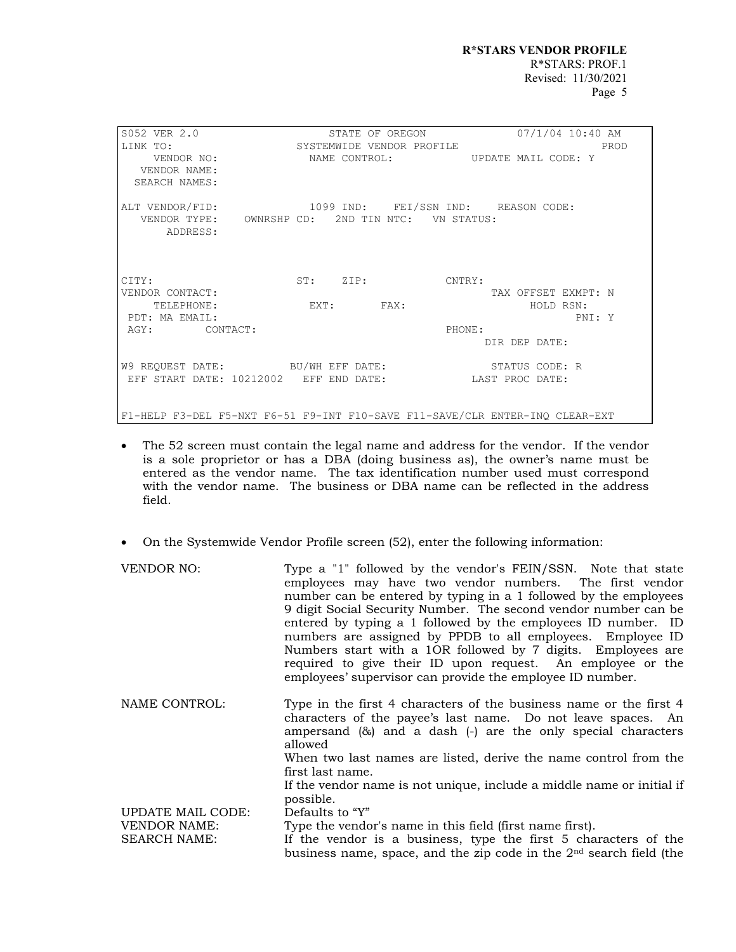| S052 VER 2.0<br>LINK TO:<br>VENDOR NO:<br>VENDOR NAME:                                                              | STATE OF OREGON<br>SYSTEMWIDE VENDOR PROFILE | 07/1/04 10:40 AM<br>PROD<br>NAME CONTROL: UPDATE MAIL CODE: Y                |
|---------------------------------------------------------------------------------------------------------------------|----------------------------------------------|------------------------------------------------------------------------------|
| SEARCH NAMES:                                                                                                       |                                              |                                                                              |
| ALT VENDOR/FID: 1099 IND: FEI/SSN IND: REASON CODE:<br>VENDOR TYPE: OWNRSHP CD: 2ND TIN NTC: VN STATUS:<br>ADDRESS: |                                              |                                                                              |
| CITY:                                                                                                               | ST: ZIP: CNTRY:                              |                                                                              |
| VENDOR CONTACT:                                                                                                     |                                              | TAX OFFSET EXMPT: N                                                          |
| TELEPHONE:                                                                                                          | $EXT:$ $FAX:$                                | HOLD RSN:                                                                    |
| PDT: MA EMAIL:                                                                                                      |                                              | PNI: Y                                                                       |
| AGY: CONTACT:                                                                                                       |                                              | PHONE:                                                                       |
|                                                                                                                     |                                              | DIR DEP DATE:                                                                |
| W9 REQUEST DATE: BU/WH EFF DATE:                                                                                    |                                              | STATUS CODE: R                                                               |
| EFF START DATE: 10212002 EFF END DATE:                                                                              |                                              | LAST PROC DATE:                                                              |
|                                                                                                                     |                                              | F1-HELP F3-DEL F5-NXT F6-51 F9-INT F10-SAVE F11-SAVE/CLR ENTER-INO CLEAR-EXT |

- The 52 screen must contain the legal name and address for the vendor. If the vendor is a sole proprietor or has a DBA (doing business as), the owner's name must be entered as the vendor name. The tax identification number used must correspond with the vendor name. The business or DBA name can be reflected in the address field.
- On the Systemwide Vendor Profile screen (52), enter the following information:

| VENDOR NO:          | Type a "1" followed by the vendor's FEIN/SSN. Note that state<br>employees may have two vendor numbers. The first vendor<br>number can be entered by typing in a 1 followed by the employees<br>9 digit Social Security Number. The second vendor number can be<br>entered by typing a 1 followed by the employees ID number. ID<br>numbers are assigned by PPDB to all employees. Employee ID<br>Numbers start with a 10R followed by 7 digits. Employees are<br>required to give their ID upon request. An employee or the<br>employees' supervisor can provide the employee ID number. |
|---------------------|-------------------------------------------------------------------------------------------------------------------------------------------------------------------------------------------------------------------------------------------------------------------------------------------------------------------------------------------------------------------------------------------------------------------------------------------------------------------------------------------------------------------------------------------------------------------------------------------|
| NAME CONTROL:       | Type in the first 4 characters of the business name or the first 4<br>characters of the payee's last name. Do not leave spaces. An<br>ampersand $(\&)$ and a dash $(\cdot)$ are the only special characters<br>allowed<br>When two last names are listed, derive the name control from the<br>first last name.<br>If the vendor name is not unique, include a middle name or initial if                                                                                                                                                                                                   |
| UPDATE MAIL CODE:   | possible.                                                                                                                                                                                                                                                                                                                                                                                                                                                                                                                                                                                 |
|                     | Defaults to "Y"                                                                                                                                                                                                                                                                                                                                                                                                                                                                                                                                                                           |
| <b>VENDOR NAME:</b> | Type the vendor's name in this field (first name first).                                                                                                                                                                                                                                                                                                                                                                                                                                                                                                                                  |
| <b>SEARCH NAME:</b> | If the vendor is a business, type the first 5 characters of the<br>business name, space, and the zip code in the $2nd$ search field (the                                                                                                                                                                                                                                                                                                                                                                                                                                                  |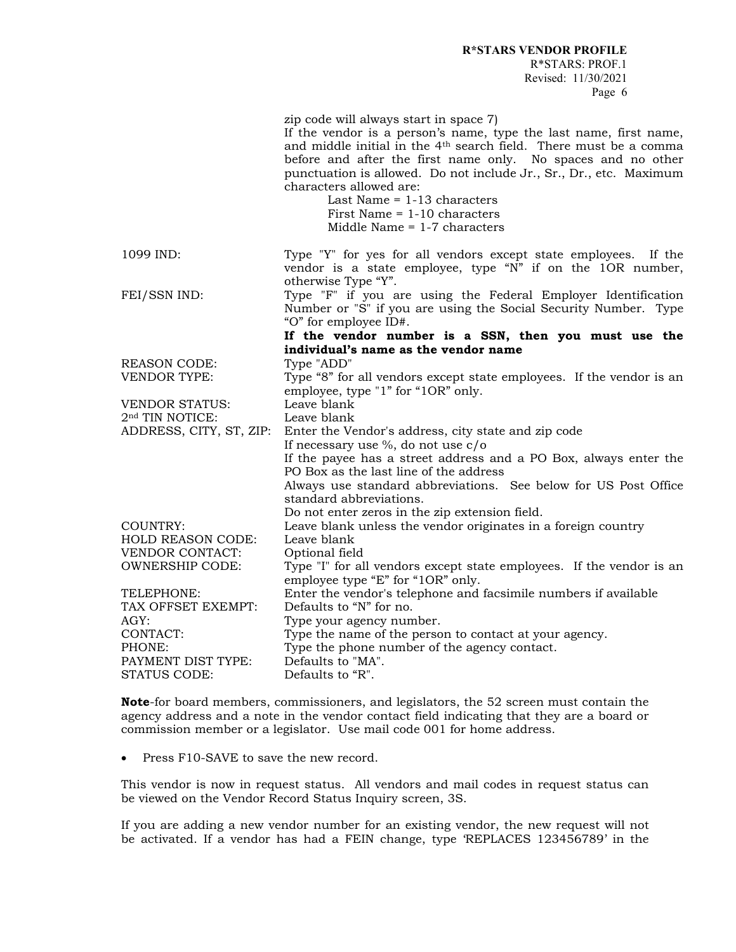R\*STARS: PROF.1 Revised: 11/30/2021 Page 6

zip code will always start in space 7)

|                             | If the vendor is a person's name, type the last name, first name,<br>and middle initial in the 4 <sup>th</sup> search field. There must be a comma<br>before and after the first name only. No spaces and no other<br>punctuation is allowed. Do not include Jr., Sr., Dr., etc. Maximum<br>characters allowed are:<br>Last Name $= 1-13$ characters<br>First Name $= 1-10$ characters<br>Middle Name $= 1-7$ characters |
|-----------------------------|--------------------------------------------------------------------------------------------------------------------------------------------------------------------------------------------------------------------------------------------------------------------------------------------------------------------------------------------------------------------------------------------------------------------------|
| 1099 IND:                   | Type "Y" for yes for all vendors except state employees. If the<br>vendor is a state employee, type "N" if on the 1OR number,<br>otherwise Type "Y".                                                                                                                                                                                                                                                                     |
| FEI/SSN IND:                | Type "F" if you are using the Federal Employer Identification<br>Number or "S" if you are using the Social Security Number. Type<br>"O" for employee ID#.                                                                                                                                                                                                                                                                |
|                             | If the vendor number is a SSN, then you must use the                                                                                                                                                                                                                                                                                                                                                                     |
|                             | individual's name as the vendor name                                                                                                                                                                                                                                                                                                                                                                                     |
| <b>REASON CODE:</b>         | Type "ADD"                                                                                                                                                                                                                                                                                                                                                                                                               |
| <b>VENDOR TYPE:</b>         | Type "8" for all vendors except state employees. If the vendor is an                                                                                                                                                                                                                                                                                                                                                     |
|                             | employee, type "1" for "1OR" only.                                                                                                                                                                                                                                                                                                                                                                                       |
| <b>VENDOR STATUS:</b>       | Leave blank                                                                                                                                                                                                                                                                                                                                                                                                              |
| 2 <sup>nd</sup> TIN NOTICE: | Leave blank                                                                                                                                                                                                                                                                                                                                                                                                              |
| ADDRESS, CITY, ST, ZIP:     | Enter the Vendor's address, city state and zip code                                                                                                                                                                                                                                                                                                                                                                      |
|                             | If necessary use $\%$ , do not use c/o                                                                                                                                                                                                                                                                                                                                                                                   |
|                             | If the payee has a street address and a PO Box, always enter the<br>PO Box as the last line of the address                                                                                                                                                                                                                                                                                                               |
|                             | Always use standard abbreviations. See below for US Post Office                                                                                                                                                                                                                                                                                                                                                          |
|                             | standard abbreviations.                                                                                                                                                                                                                                                                                                                                                                                                  |
|                             | Do not enter zeros in the zip extension field.                                                                                                                                                                                                                                                                                                                                                                           |
| <b>COUNTRY:</b>             | Leave blank unless the vendor originates in a foreign country                                                                                                                                                                                                                                                                                                                                                            |
| <b>HOLD REASON CODE:</b>    | Leave blank                                                                                                                                                                                                                                                                                                                                                                                                              |
| <b>VENDOR CONTACT:</b>      | Optional field                                                                                                                                                                                                                                                                                                                                                                                                           |
| <b>OWNERSHIP CODE:</b>      | Type "I" for all vendors except state employees. If the vendor is an                                                                                                                                                                                                                                                                                                                                                     |
|                             | employee type "E" for "1OR" only.                                                                                                                                                                                                                                                                                                                                                                                        |
| TELEPHONE:                  | Enter the vendor's telephone and facsimile numbers if available                                                                                                                                                                                                                                                                                                                                                          |
| TAX OFFSET EXEMPT:          | Defaults to "N" for no.                                                                                                                                                                                                                                                                                                                                                                                                  |
| AGY:                        | Type your agency number.                                                                                                                                                                                                                                                                                                                                                                                                 |
| CONTACT:                    | Type the name of the person to contact at your agency.                                                                                                                                                                                                                                                                                                                                                                   |
| PHONE:                      | Type the phone number of the agency contact.                                                                                                                                                                                                                                                                                                                                                                             |
| PAYMENT DIST TYPE:          | Defaults to "MA".                                                                                                                                                                                                                                                                                                                                                                                                        |
| <b>STATUS CODE:</b>         | Defaults to "R".                                                                                                                                                                                                                                                                                                                                                                                                         |
|                             |                                                                                                                                                                                                                                                                                                                                                                                                                          |

**Note**-for board members, commissioners, and legislators, the 52 screen must contain the agency address and a note in the vendor contact field indicating that they are a board or commission member or a legislator. Use mail code 001 for home address.

• Press F10-SAVE to save the new record.

This vendor is now in request status. All vendors and mail codes in request status can be viewed on the Vendor Record Status Inquiry screen, 3S.

If you are adding a new vendor number for an existing vendor, the new request will not be activated. If a vendor has had a FEIN change, type 'REPLACES 123456789' in the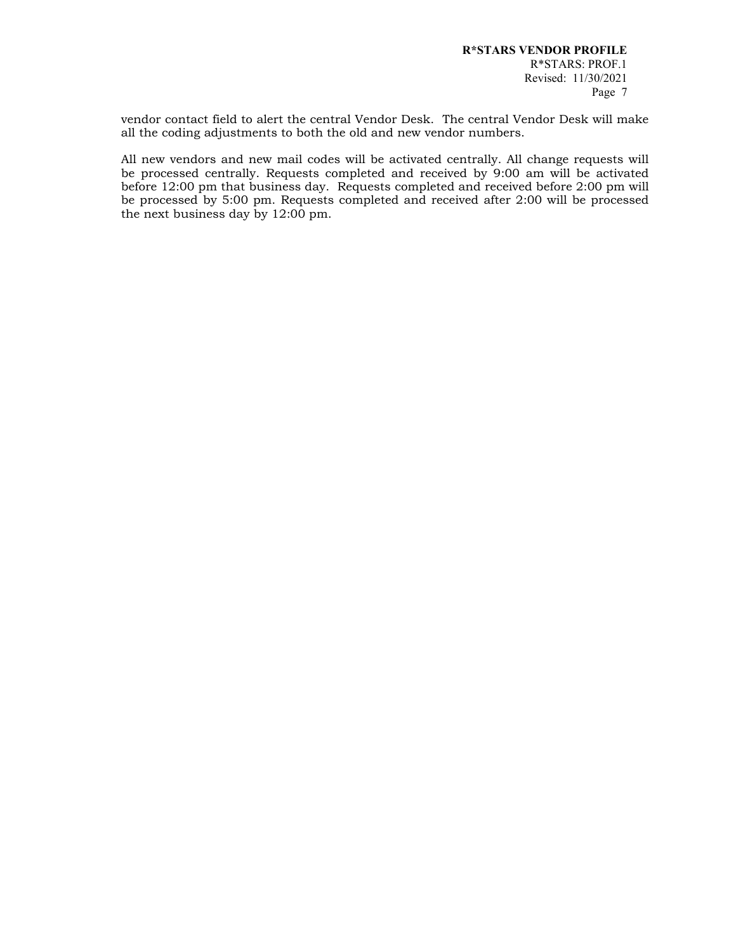vendor contact field to alert the central Vendor Desk. The central Vendor Desk will make all the coding adjustments to both the old and new vendor numbers.

All new vendors and new mail codes will be activated centrally. All change requests will be processed centrally. Requests completed and received by 9:00 am will be activated before 12:00 pm that business day. Requests completed and received before 2:00 pm will be processed by 5:00 pm. Requests completed and received after 2:00 will be processed the next business day by 12:00 pm.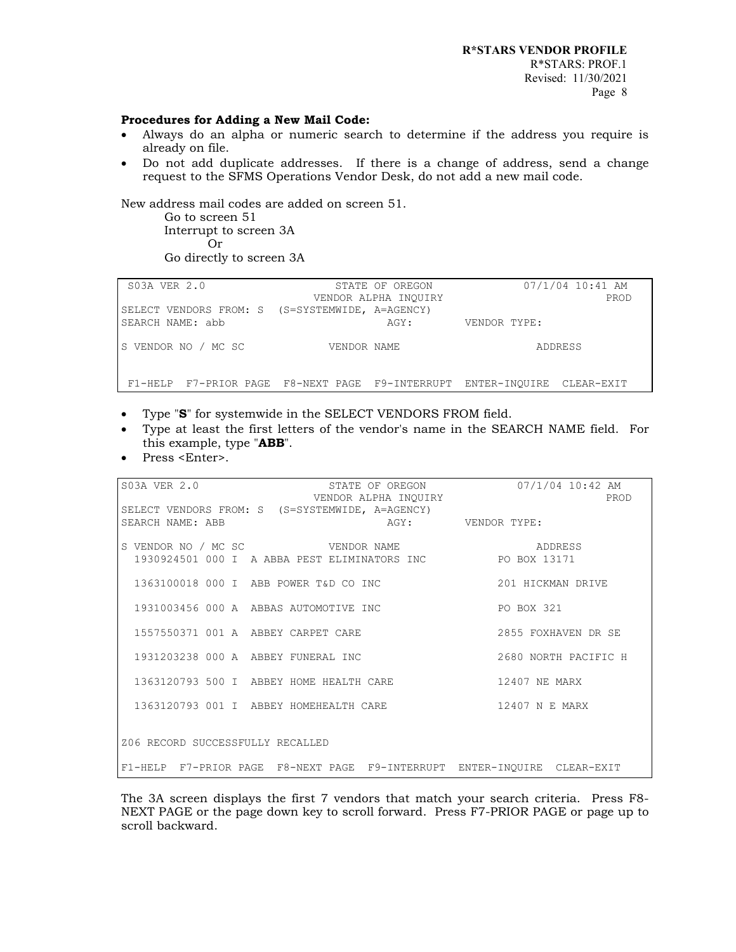**R\*STARS VENDOR PROFILE** R\*STARS: PROF.1 Revised: 11/30/2021

#### **Procedures for Adding a New Mail Code:**

- Always do an alpha or numeric search to determine if the address you require is already on file.
- Do not add duplicate addresses. If there is a change of address, send a change request to the SFMS Operations Vendor Desk, do not add a new mail code.

New address mail codes are added on screen 51.

Go to screen 51 Interrupt to screen 3A Or Go directly to screen 3A

| S03A VER 2.0        | STATE OF OREGON                                                          | 07/1/04 10:41 AM |
|---------------------|--------------------------------------------------------------------------|------------------|
|                     | VENDOR ALPHA INOUIRY                                                     | PROD             |
|                     | SELECT VENDORS FROM: S (S=SYSTEMWIDE, A=AGENCY)                          |                  |
| SEARCH NAME: abb    | AGY:                                                                     | VENDOR TYPE:     |
|                     |                                                                          |                  |
| S VENDOR NO / MC SC | VENDOR NAME                                                              | ADDRESS          |
|                     |                                                                          |                  |
|                     |                                                                          |                  |
|                     | F1-HELP F7-PRIOR PAGE F8-NEXT PAGE F9-INTERRUPT ENTER-INOUIRE CLEAR-EXIT |                  |

- Type "**S**" for systemwide in the SELECT VENDORS FROM field.
- Type at least the first letters of the vendor's name in the SEARCH NAME field. For this example, type "**ABB**".
- Press <Enter>.

| S03A VER 2.0 STATE OF OREGON 07/1/04 10:42 AM<br>VENDOR ALPHA INOUIRY                        | PROD                 |
|----------------------------------------------------------------------------------------------|----------------------|
| SELECT VENDORS FROM: S (S=SYSTEMWIDE, A=AGENCY)                                              |                      |
| AGY: VENDOR TYPE:<br>SEARCH NAME: ABB                                                        |                      |
|                                                                                              |                      |
|                                                                                              |                      |
| S VENDOR NO / MC SC WENDOR NAME<br>1930924501 000 I A ABBA PEST ELIMINATORS INC PO BOX 13171 |                      |
|                                                                                              |                      |
| 1363100018 000 I ABB POWER T&D CO INC 201 HICKMAN DRIVE                                      |                      |
|                                                                                              |                      |
| 1931003456 000 A ABBAS AUTOMOTIVE INC THE REPORT OF BOX 321                                  |                      |
|                                                                                              |                      |
| 1557550371 001 A ABBEY CARPET CARE                                                           | 2855 FOXHAVEN DR SE  |
|                                                                                              |                      |
| 1931203238 000 A ABBEY FUNERAL INC                                                           | 2680 NORTH PACIFIC H |
| 1363120793 500 I ABBEY HOME HEALTH CARE 42407 NE MARX                                        |                      |
|                                                                                              |                      |
|                                                                                              | 12407 N E MARX       |
| 1363120793 001 I ABBEY HOMEHEALTH CARE                                                       |                      |
|                                                                                              |                      |
| Z06 RECORD SUCCESSFULLY RECALLED                                                             |                      |
|                                                                                              |                      |
| F1-HELP F7-PRIOR PAGE F8-NEXT PAGE F9-INTERRUPT ENTER-INOUIRE CLEAR-EXIT                     |                      |

The 3A screen displays the first 7 vendors that match your search criteria. Press F8- NEXT PAGE or the page down key to scroll forward. Press F7-PRIOR PAGE or page up to scroll backward.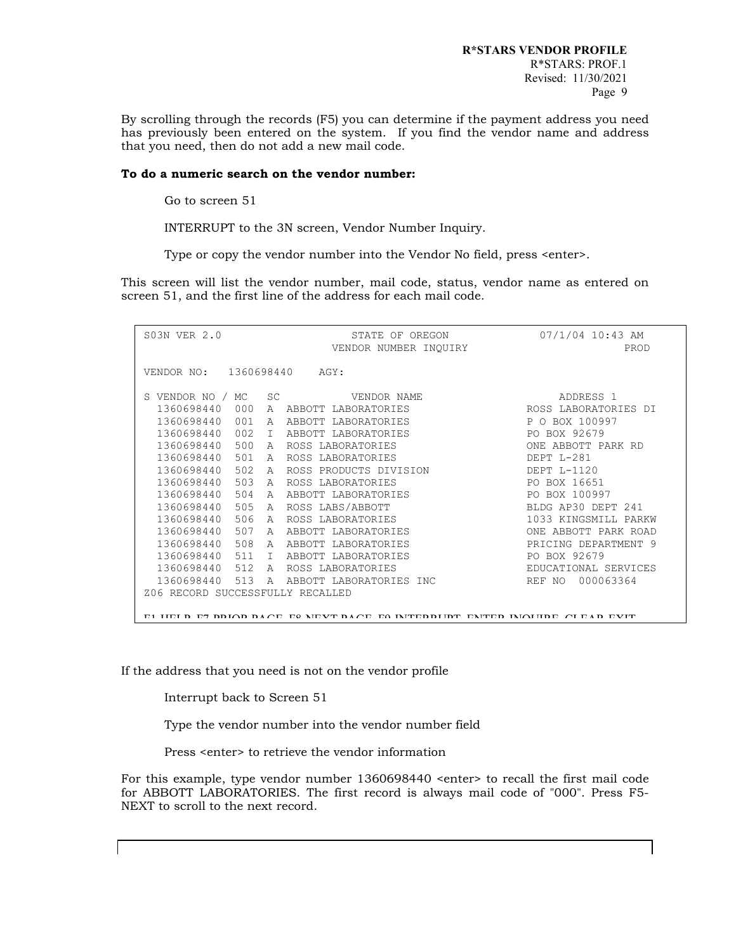By scrolling through the records (F5) you can determine if the payment address you need has previously been entered on the system. If you find the vendor name and address that you need, then do not add a new mail code.

## **To do a numeric search on the vendor number:**

Go to screen 51

INTERRUPT to the 3N screen, Vendor Number Inquiry.

Type or copy the vendor number into the Vendor No field, press <enter>.

This screen will list the vendor number, mail code, status, vendor name as entered on screen 51, and the first line of the address for each mail code.

| S03N VER 2.0                                                              | STATE OF OREGON<br>VENDOR NUMBER INOUIRY | 07/1/04 10:43 AM<br>PROD |
|---------------------------------------------------------------------------|------------------------------------------|--------------------------|
| VENDOR NO: 1360698440 AGY:                                                |                                          |                          |
| S VENDOR NO /<br>MC.<br>SC                                                | VENDOR NAME                              | ADDRESS 1                |
| 1360698440<br>000                                                         | A ABBOTT LABORATORIES                    | ROSS LABORATORIES DI     |
| 1360698440<br>001<br>$\mathbb{A}$                                         | ABBOTT LABORATORIES                      | P O BOX 100997           |
| 1360698440<br>002<br>$\top$                                               | ABBOTT LABORATORIES                      | PO BOX 92679             |
| 1360698440<br>500<br>$\mathsf{A}$                                         | ROSS LABORATORIES                        | ONE ABBOTT PARK RD       |
| 1360698440<br>501<br>$\mathbb A$                                          | ROSS LABORATORIES                        | DEPT L-281               |
| 1360698440<br>502<br>$\mathsf{A}$                                         | ROSS PRODUCTS DIVISION                   | DEPT L-1120              |
| 503<br>1360698440<br>$\mathbb{A}$                                         | ROSS LABORATORIES                        | PO BOX 16651             |
| 1360698440<br>504<br>A                                                    | ABBOTT LABORATORIES                      | PO BOX 100997            |
| 505<br>1360698440<br>$\mathsf{A}$                                         | ROSS LABS/ABBOTT                         | BLDG AP30 DEPT 241       |
| 1360698440<br>506<br>$\mathsf{A}$                                         | ROSS LABORATORIES                        | 1033 KINGSMILL PARKW     |
| 1360698440<br>507<br>A                                                    | ABBOTT LABORATORIES                      | ONE ABBOTT PARK ROAD     |
| 1360698440<br>508<br>A                                                    | ABBOTT LABORATORIES                      | PRICING DEPARTMENT 9     |
| 1360698440<br>511<br>T.                                                   | ABBOTT LABORATORIES                      | PO BOX 92679             |
| 1360698440<br>512<br>$\mathsf{A}$                                         | ROSS LABORATORIES                        | EDUCATIONAL SERVICES     |
| 1360698440<br>513<br>$\mathsf{A}$                                         | ABBOTT LABORATORIES INC                  | REF NO 000063364         |
| Z06 RECORD SUCCESSFULLY RECALLED                                          |                                          |                          |
|                                                                           |                                          |                          |
| EL HELD E7 DIOD DACE, E9 MEVT DACE, E0 IMTEDDHET EMTED IMOHDE, CLEAD EVIT |                                          |                          |

If the address that you need is not on the vendor profile

Interrupt back to Screen 51

Type the vendor number into the vendor number field

Press <enter> to retrieve the vendor information

For this example, type vendor number 1360698440 <enter> to recall the first mail code for ABBOTT LABORATORIES. The first record is always mail code of "000". Press F5- NEXT to scroll to the next record.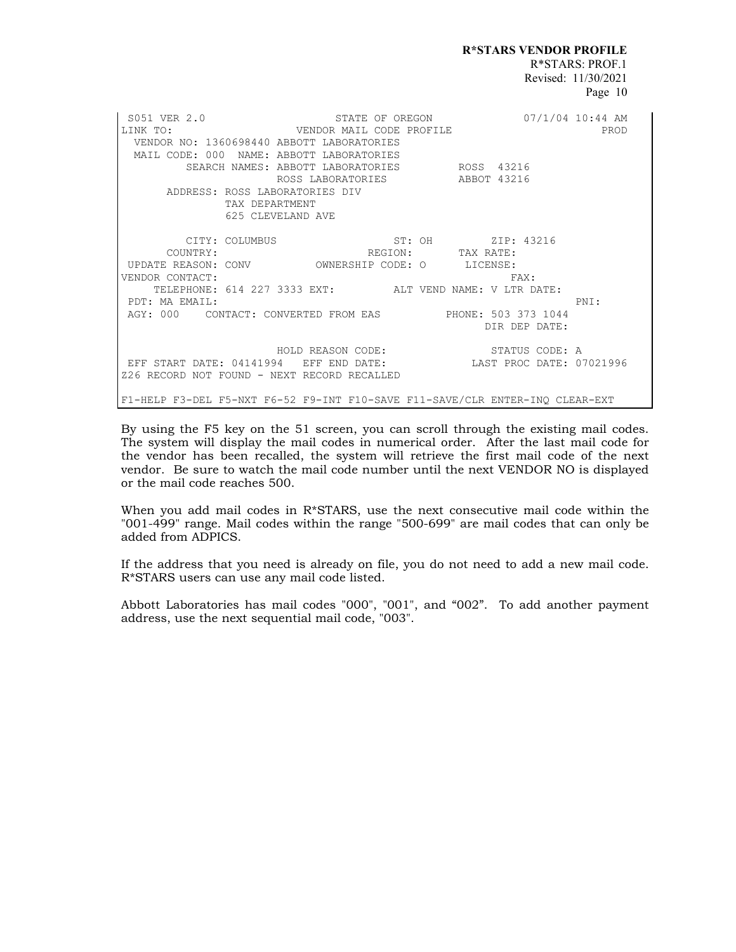**R\*STARS VENDOR PROFILE** R\*STARS: PROF.1 Revised: 11/30/2021 Page 10

S051 VER 2.0 STATE OF OREGON 07/1/04 10:44 AM LINK TO: VENDOR MAIL CODE PROFILE PROD VENDOR NO: 1360698440 ABBOTT LABORATORIES MAIL CODE: 000 NAME: ABBOTT LABORATORIES SEARCH NAMES: ABBOTT LABORATORIES ROSS 43216 ROSS LABORATORIES ABBOT 43216 ADDRESS: ROSS LABORATORIES DIV TAX DEPARTMENT 625 CLEVELAND AVE CITY: COLUMBUS ST: OH ZIP: 43216<br>
COUNTRY: REGION: TAX RATE:<br>
E REASON: CONV OWNERSHIP CODE: O LICENSE: COUNTRY: REGION: TAX RATE: UPDATE REASON: CONV OWNERSHIP CODE: O LICENSE: VENDOR CONTACT: THE SERVICE OF STRING SERVICE SERVICE SERVICE SERVICE SERVICE SERVICE SERVICE SERVICE SERVICE S TELEPHONE: 614 227 3333 EXT: ALT VEND NAME: V LTR DATE: PDT: MA EMAIL: PNI: AGY: 000 CONTACT: CONVERTED FROM EAS PHONE: 503 373 1044 DIR DEP DATE: HOLD REASON CODE: STATUS CODE: A EFF START DATE: 04141994 EFF END DATE: LAST PROC DATE: 07021996 Z26 RECORD NOT FOUND - NEXT RECORD RECALLED F1-HELP F3-DEL F5-NXT F6-52 F9-INT F10-SAVE F11-SAVE/CLR ENTER-INQ CLEAR-EXT

By using the F5 key on the 51 screen, you can scroll through the existing mail codes. The system will display the mail codes in numerical order. After the last mail code for the vendor has been recalled, the system will retrieve the first mail code of the next vendor. Be sure to watch the mail code number until the next VENDOR NO is displayed or the mail code reaches 500.

When you add mail codes in R\*STARS, use the next consecutive mail code within the "001-499" range. Mail codes within the range "500-699" are mail codes that can only be added from ADPICS.

If the address that you need is already on file, you do not need to add a new mail code. R\*STARS users can use any mail code listed.

Abbott Laboratories has mail codes "000", "001", and "002". To add another payment address, use the next sequential mail code, "003".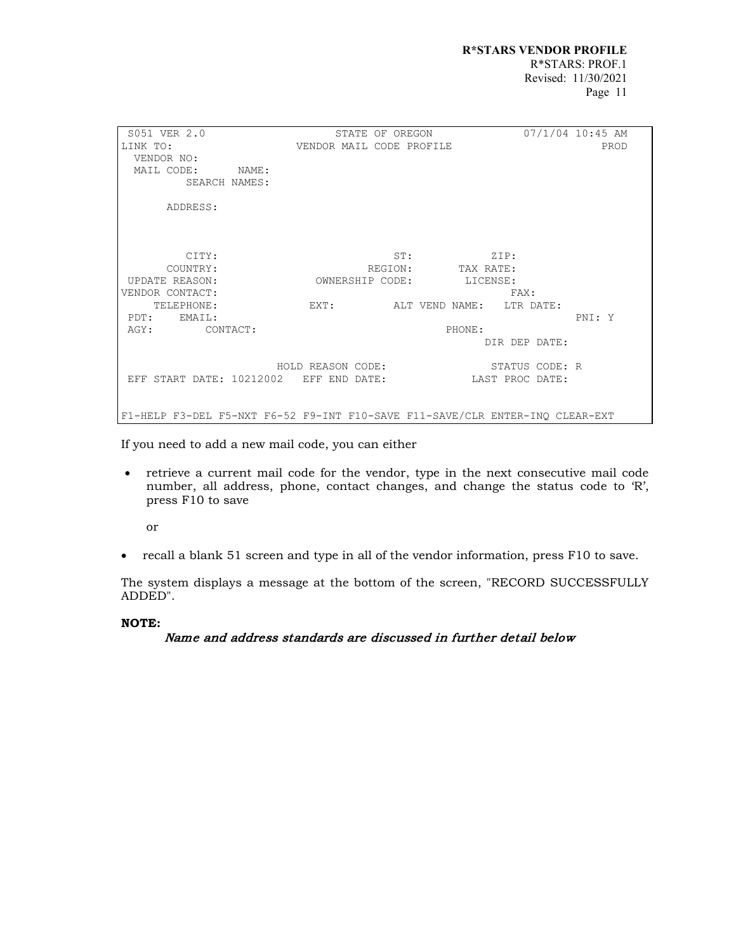SO51 VER 2.0 STATE OF OREGON 07/1/04 10:45 AM LINK TO: VENDOR MAIL CODE PROFILE VENDOR MAIL CODE PROFILE VENDOR NO: MAIL CODE: NAME: SEARCH NAMES: ADDRESS: CITY: ST: ZIP: COUNTRY: REGION: TAX RATE: UPDATE REASON: OWNERSHIP CODE: LICENSE: VENDOR CONTACT: FAX: EXT: ALT VEND NAME: LTR DATE: PDT: EMAIL: PNI: Y AGY: CONTACT: PHONE: DIR DEP DATE: HOLD REASON CODE: STATUS CODE: R EFF START DATE: 10212002 EFF END DATE: LAST PROC DATE: F1-HELP F3-DEL F5-NXT F6-52 F9-INT F10-SAVE F11-SAVE/CLR ENTER-INQ CLEAR-EXT

If you need to add a new mail code, you can either

• retrieve a current mail code for the vendor, type in the next consecutive mail code number, all address, phone, contact changes, and change the status code to 'R', press F10 to save

or

• recall a blank 51 screen and type in all of the vendor information, press F10 to save.

The system displays a message at the bottom of the screen, "RECORD SUCCESSFULLY ADDED".

## **NOTE:**

Name and address standards are discussed in further detail below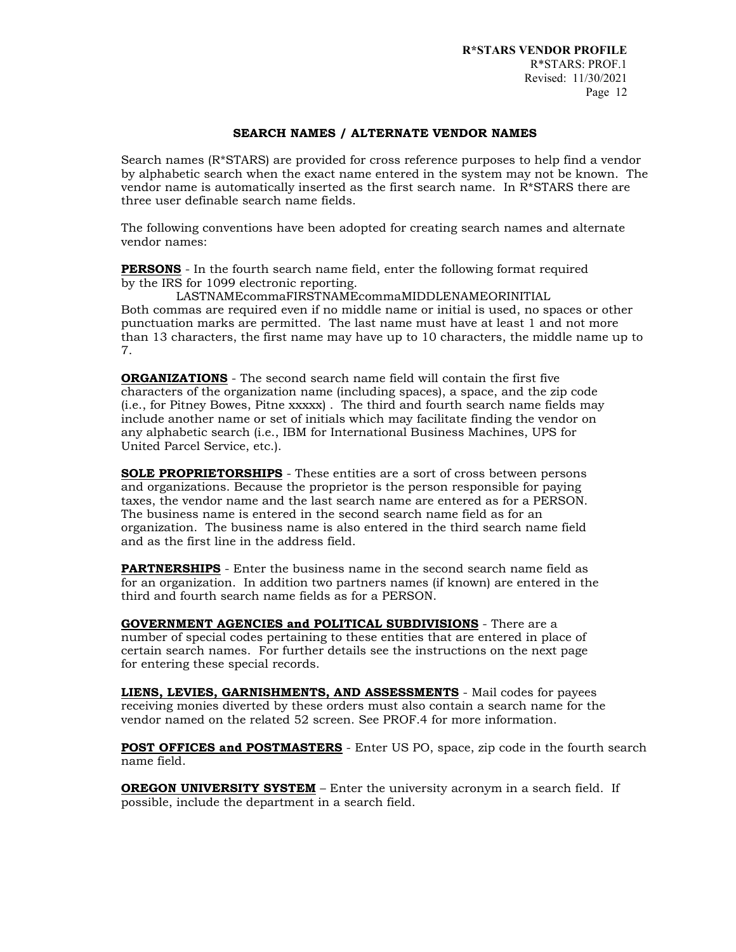#### **SEARCH NAMES / ALTERNATE VENDOR NAMES**

Search names (R\*STARS) are provided for cross reference purposes to help find a vendor by alphabetic search when the exact name entered in the system may not be known. The vendor name is automatically inserted as the first search name. In R\*STARS there are three user definable search name fields.

The following conventions have been adopted for creating search names and alternate vendor names:

**PERSONS** - In the fourth search name field, enter the following format required by the IRS for 1099 electronic reporting.

LASTNAMEcommaFIRSTNAMEcommaMIDDLENAMEORINITIAL Both commas are required even if no middle name or initial is used, no spaces or other punctuation marks are permitted. The last name must have at least 1 and not more than 13 characters, the first name may have up to 10 characters, the middle name up to 7.

**ORGANIZATIONS** - The second search name field will contain the first five characters of the organization name (including spaces), a space, and the zip code (i.e., for Pitney Bowes, Pitne xxxxx) . The third and fourth search name fields may include another name or set of initials which may facilitate finding the vendor on any alphabetic search (i.e., IBM for International Business Machines, UPS for United Parcel Service, etc.).

**SOLE PROPRIETORSHIPS** - These entities are a sort of cross between persons and organizations. Because the proprietor is the person responsible for paying taxes, the vendor name and the last search name are entered as for a PERSON. The business name is entered in the second search name field as for an organization. The business name is also entered in the third search name field and as the first line in the address field.

**PARTNERSHIPS** - Enter the business name in the second search name field as for an organization. In addition two partners names (if known) are entered in the third and fourth search name fields as for a PERSON.

**GOVERNMENT AGENCIES and POLITICAL SUBDIVISIONS** - There are a number of special codes pertaining to these entities that are entered in place of certain search names. For further details see the instructions on the next page for entering these special records.

**LIENS, LEVIES, GARNISHMENTS, AND ASSESSMENTS** - Mail codes for payees receiving monies diverted by these orders must also contain a search name for the vendor named on the related 52 screen. See PROF.4 for more information.

**POST OFFICES and POSTMASTERS** - Enter US PO, space, zip code in the fourth search name field.

**OREGON UNIVERSITY SYSTEM** – Enter the university acronym in a search field. If possible, include the department in a search field.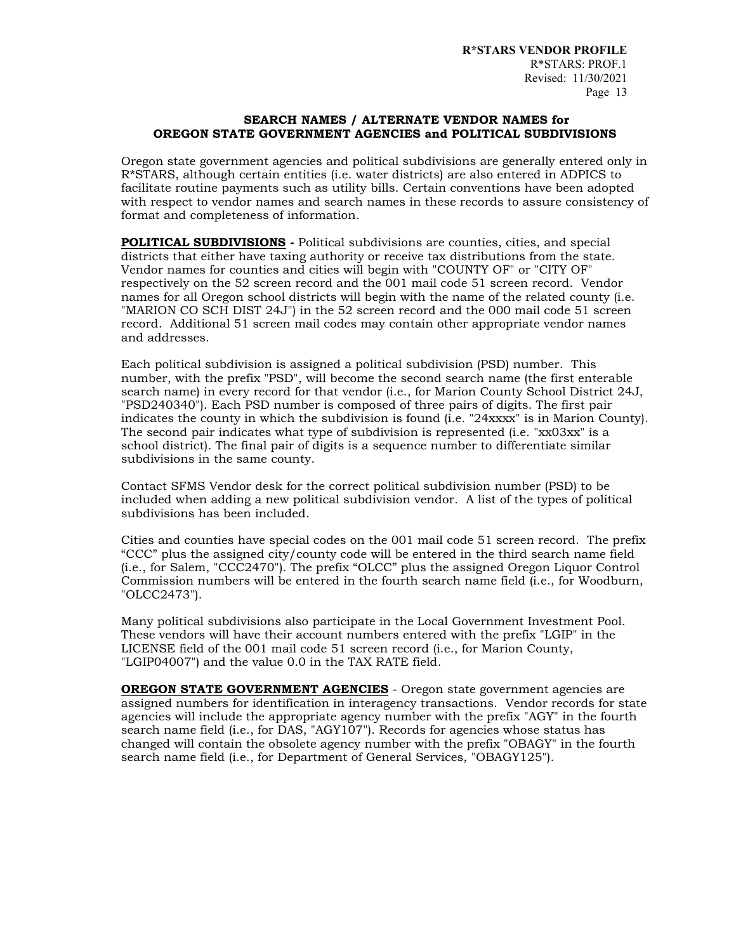## **SEARCH NAMES / ALTERNATE VENDOR NAMES for OREGON STATE GOVERNMENT AGENCIES and POLITICAL SUBDIVISIONS**

Oregon state government agencies and political subdivisions are generally entered only in R\*STARS, although certain entities (i.e. water districts) are also entered in ADPICS to facilitate routine payments such as utility bills. Certain conventions have been adopted with respect to vendor names and search names in these records to assure consistency of format and completeness of information.

**POLITICAL SUBDIVISIONS -** Political subdivisions are counties, cities, and special districts that either have taxing authority or receive tax distributions from the state. Vendor names for counties and cities will begin with "COUNTY OF" or "CITY OF" respectively on the 52 screen record and the 001 mail code 51 screen record. Vendor names for all Oregon school districts will begin with the name of the related county (i.e. "MARION CO SCH DIST 24J") in the 52 screen record and the 000 mail code 51 screen record. Additional 51 screen mail codes may contain other appropriate vendor names and addresses.

Each political subdivision is assigned a political subdivision (PSD) number. This number, with the prefix "PSD", will become the second search name (the first enterable search name) in every record for that vendor (i.e., for Marion County School District 24J, "PSD240340"). Each PSD number is composed of three pairs of digits. The first pair indicates the county in which the subdivision is found (i.e. "24xxxx" is in Marion County). The second pair indicates what type of subdivision is represented (i.e. "xx03xx" is a school district). The final pair of digits is a sequence number to differentiate similar subdivisions in the same county.

Contact SFMS Vendor desk for the correct political subdivision number (PSD) to be included when adding a new political subdivision vendor. A list of the types of political subdivisions has been included.

Cities and counties have special codes on the 001 mail code 51 screen record. The prefix "CCC" plus the assigned city/county code will be entered in the third search name field (i.e., for Salem, "CCC2470"). The prefix "OLCC" plus the assigned Oregon Liquor Control Commission numbers will be entered in the fourth search name field (i.e., for Woodburn, "OLCC2473").

Many political subdivisions also participate in the Local Government Investment Pool. These vendors will have their account numbers entered with the prefix "LGIP" in the LICENSE field of the 001 mail code 51 screen record (i.e., for Marion County, "LGIP04007") and the value 0.0 in the TAX RATE field.

**OREGON STATE GOVERNMENT AGENCIES** - Oregon state government agencies are assigned numbers for identification in interagency transactions. Vendor records for state agencies will include the appropriate agency number with the prefix "AGY" in the fourth search name field (i.e., for DAS, "AGY107"). Records for agencies whose status has changed will contain the obsolete agency number with the prefix "OBAGY" in the fourth search name field (i.e., for Department of General Services, "OBAGY125").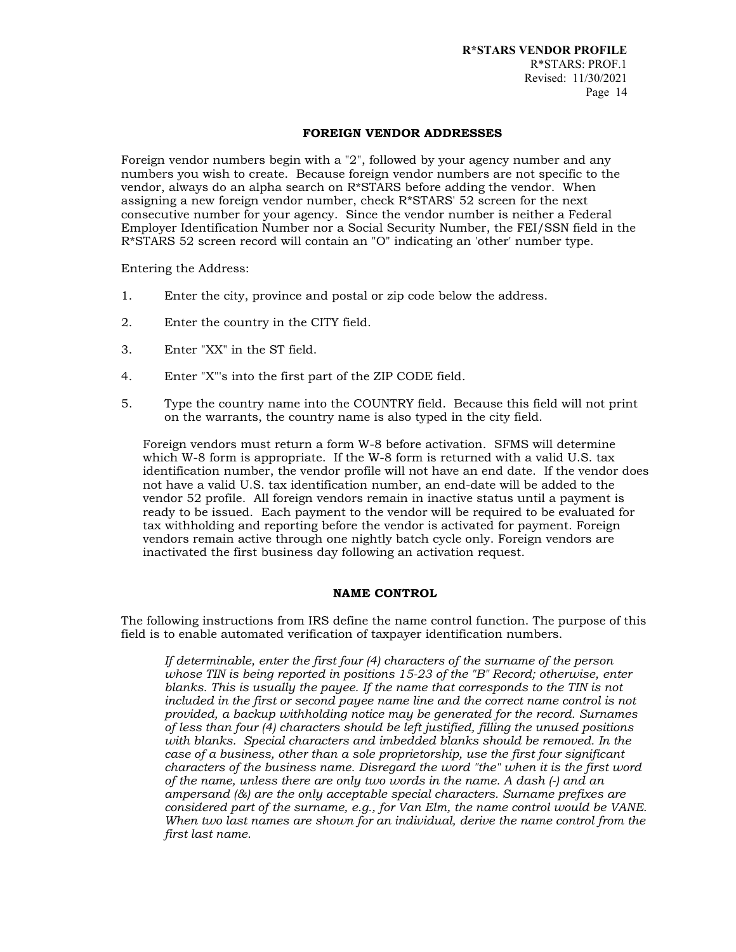#### **FOREIGN VENDOR ADDRESSES**

Foreign vendor numbers begin with a "2", followed by your agency number and any numbers you wish to create. Because foreign vendor numbers are not specific to the vendor, always do an alpha search on  $R^*STARS$  before adding the vendor. When assigning a new foreign vendor number, check  $R^*STARS'$  52 screen for the next consecutive number for your agency. Since the vendor number is neither a Federal Employer Identification Number nor a Social Security Number, the FEI/SSN field in the R\*STARS 52 screen record will contain an "O" indicating an 'other' number type.

Entering the Address:

- 1. Enter the city, province and postal or zip code below the address.
- 2. Enter the country in the CITY field.
- 3. Enter "XX" in the ST field.
- 4. Enter "X"'s into the first part of the ZIP CODE field.
- 5. Type the country name into the COUNTRY field. Because this field will not print on the warrants, the country name is also typed in the city field.

Foreign vendors must return a form W-8 before activation. SFMS will determine which W-8 form is appropriate. If the W-8 form is returned with a valid U.S. tax identification number, the vendor profile will not have an end date. If the vendor does not have a valid U.S. tax identification number, an end-date will be added to the vendor 52 profile. All foreign vendors remain in inactive status until a payment is ready to be issued. Each payment to the vendor will be required to be evaluated for tax withholding and reporting before the vendor is activated for payment. Foreign vendors remain active through one nightly batch cycle only. Foreign vendors are inactivated the first business day following an activation request.

## **NAME CONTROL**

The following instructions from IRS define the name control function. The purpose of this field is to enable automated verification of taxpayer identification numbers.

*If determinable, enter the first four (4) characters of the surname of the person whose TIN is being reported in positions 15-23 of the "B" Record; otherwise, enter blanks. This is usually the payee. If the name that corresponds to the TIN is not included in the first or second payee name line and the correct name control is not provided, a backup withholding notice may be generated for the record. Surnames of less than four (4) characters should be left justified, filling the unused positions with blanks. Special characters and imbedded blanks should be removed. In the case of a business, other than a sole proprietorship, use the first four significant characters of the business name. Disregard the word "the" when it is the first word of the name, unless there are only two words in the name. A dash (-) and an ampersand (&) are the only acceptable special characters. Surname prefixes are considered part of the surname, e.g., for Van Elm, the name control would be VANE. When two last names are shown for an individual, derive the name control from the first last name.*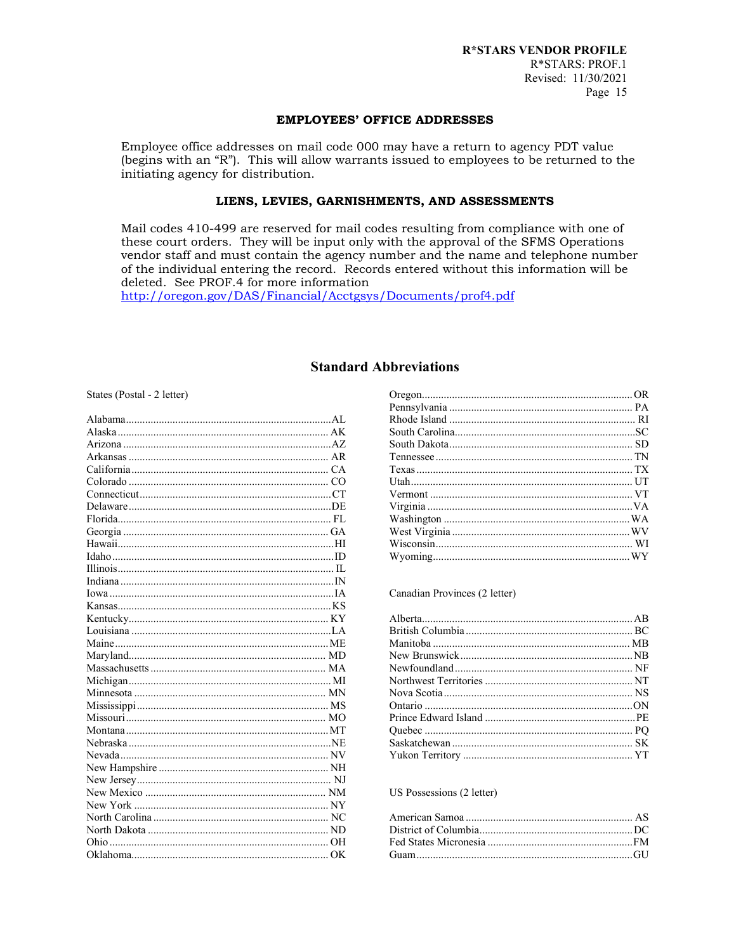#### **EMPLOYEES' OFFICE ADDRESSES**

Employee office addresses on mail code 000 may have a return to agency PDT value (begins with an "R"). This will allow warrants issued to employees to be returned to the initiating agency for distribution.

## LIENS, LEVIES, GARNISHMENTS, AND ASSESSMENTS

Mail codes 410-499 are reserved for mail codes resulting from compliance with one of these court orders. They will be input only with the approval of the SFMS Operations vendor staff and must contain the agency number and the name and telephone number of the individual entering the record. Records entered without this information will be deleted. See PROF.4 for more information

http://oregon.gov/DAS/Financial/Acctgsys/Documents/prof4.pdf

## **Standard Abbreviations**

States (Postal - 2 letter)

#### Canadian Provinces (2 letter)

#### US Possessions (2 letter)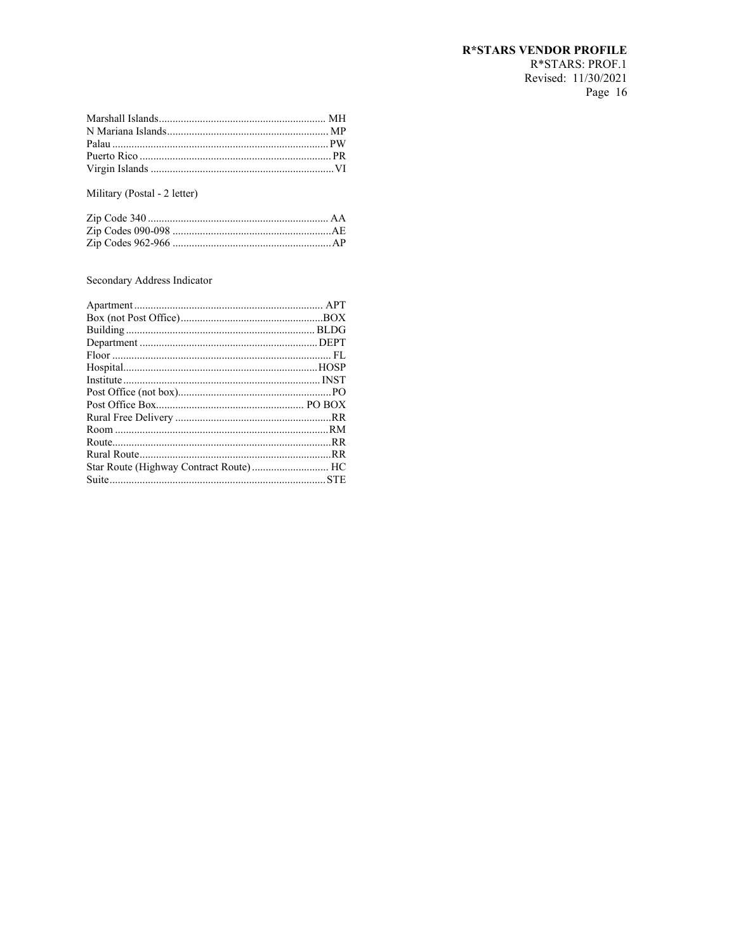# **R\*STARS VENDOR PROFILE**

R\*STARS: PROF.1 Revised: 11/30/2021 Page 16

Military (Postal - 2 letter)

## Secondary Address Indicator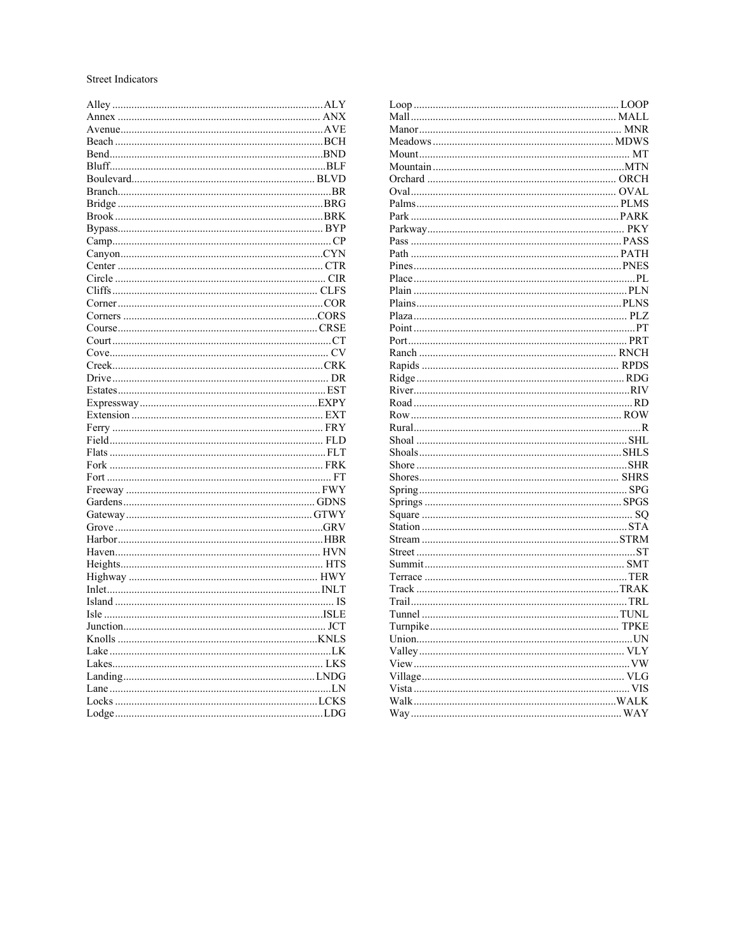#### Street Indicators